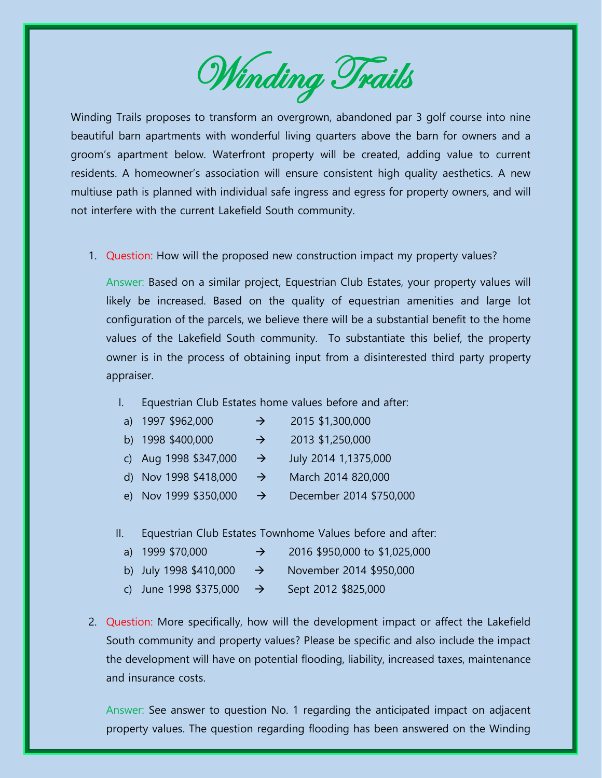Winding Trails

Winding Trails proposes to transform an overgrown, abandoned par 3 golf course into nine beautiful barn apartments with wonderful living quarters above the barn for owners and a groom's apartment below. Waterfront property will be created, adding value to current residents. A homeowner's association will ensure consistent high quality aesthetics. A new multiuse path is planned with individual safe ingress and egress for property owners, and will not interfere with the current Lakefield South community.

1. Question: How will the proposed new construction impact my property values?

Answer: Based on a similar project, Equestrian Club Estates, your property values will likely be increased. Based on the quality of equestrian amenities and large lot configuration of the parcels, we believe there will be a substantial benefit to the home values of the Lakefield South community. To substantiate this belief, the property owner is in the process of obtaining input from a disinterested third party property appraiser.

I. Equestrian Club Estates home values before and after:

| a) 1997 \$962,000                                                                                                                                                                                                                                                                                                                                                                    | $\rightarrow$ | 2015 \$1,300,000                     |  |
|--------------------------------------------------------------------------------------------------------------------------------------------------------------------------------------------------------------------------------------------------------------------------------------------------------------------------------------------------------------------------------------|---------------|--------------------------------------|--|
| $\overline{1}$ $\overline{1}$ $\overline{1}$ $\overline{1}$ $\overline{2}$ $\overline{2}$ $\overline{2}$ $\overline{2}$ $\overline{2}$ $\overline{1}$ $\overline{2}$ $\overline{2}$ $\overline{2}$ $\overline{2}$ $\overline{2}$ $\overline{2}$ $\overline{2}$ $\overline{2}$ $\overline{2}$ $\overline{2}$ $\overline{2}$ $\overline{2}$ $\overline{2}$ $\overline{2}$ $\overline{$ |               | $\begin{array}{c} 0.042 \end{array}$ |  |

- b) 1998  $$400,000$   $\rightarrow$  2013  $$1,250,000$
- c) Aug 1998  $$347,000 \rightarrow$  July 2014 1,1375,000
- d) Nov 1998  $$418,000 \rightarrow$  March 2014 820,000
- e) Nov 1999 \$350,000  $\rightarrow$  December 2014 \$750,000
- II. Equestrian Club Estates Townhome Values before and after:

| a) 1999 \$70,000       | 2016 \$950,000 to \$1,025,000 |
|------------------------|-------------------------------|
| b) July 1998 \$410,000 | November 2014 \$950,000       |

- c) June 1998  $$375,000$   $\rightarrow$  Sept 2012  $$825,000$
- 2. Question: More specifically, how will the development impact or affect the Lakefield South community and property values? Please be specific and also include the impact the development will have on potential flooding, liability, increased taxes, maintenance and insurance costs.

Answer: See answer to question No. 1 regarding the anticipated impact on adjacent property values. The question regarding flooding has been answered on the Winding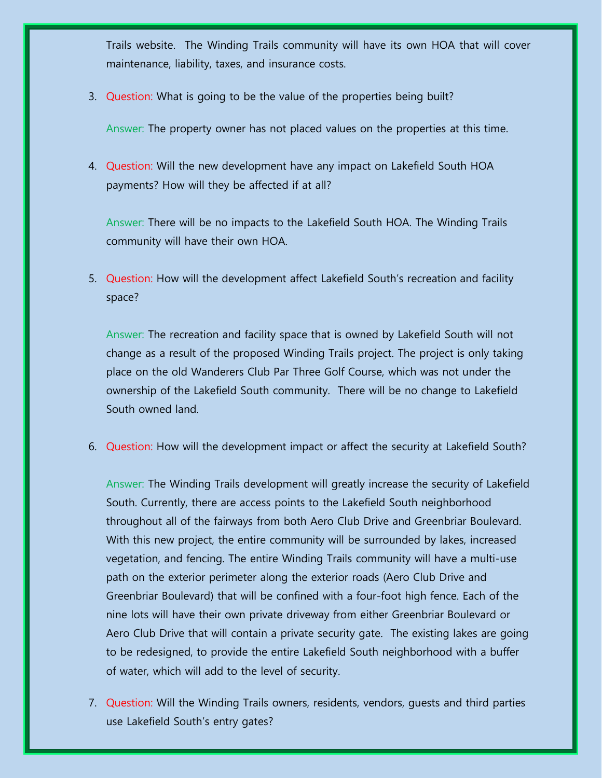Trails website. The Winding Trails community will have its own HOA that will cover maintenance, liability, taxes, and insurance costs.

3. Question: What is going to be the value of the properties being built?

Answer: The property owner has not placed values on the properties at this time.

4. Question: Will the new development have any impact on Lakefield South HOA payments? How will they be affected if at all?

Answer: There will be no impacts to the Lakefield South HOA. The Winding Trails community will have their own HOA.

5. Question: How will the development affect Lakefield South's recreation and facility space?

Answer: The recreation and facility space that is owned by Lakefield South will not change as a result of the proposed Winding Trails project. The project is only taking place on the old Wanderers Club Par Three Golf Course, which was not under the ownership of the Lakefield South community. There will be no change to Lakefield South owned land.

6. Question: How will the development impact or affect the security at Lakefield South?

Answer: The Winding Trails development will greatly increase the security of Lakefield South. Currently, there are access points to the Lakefield South neighborhood throughout all of the fairways from both Aero Club Drive and Greenbriar Boulevard. With this new project, the entire community will be surrounded by lakes, increased vegetation, and fencing. The entire Winding Trails community will have a multi-use path on the exterior perimeter along the exterior roads (Aero Club Drive and Greenbriar Boulevard) that will be confined with a four-foot high fence. Each of the nine lots will have their own private driveway from either Greenbriar Boulevard or Aero Club Drive that will contain a private security gate. The existing lakes are going to be redesigned, to provide the entire Lakefield South neighborhood with a buffer of water, which will add to the level of security.

7. Question: Will the Winding Trails owners, residents, vendors, guests and third parties use Lakefield South's entry gates?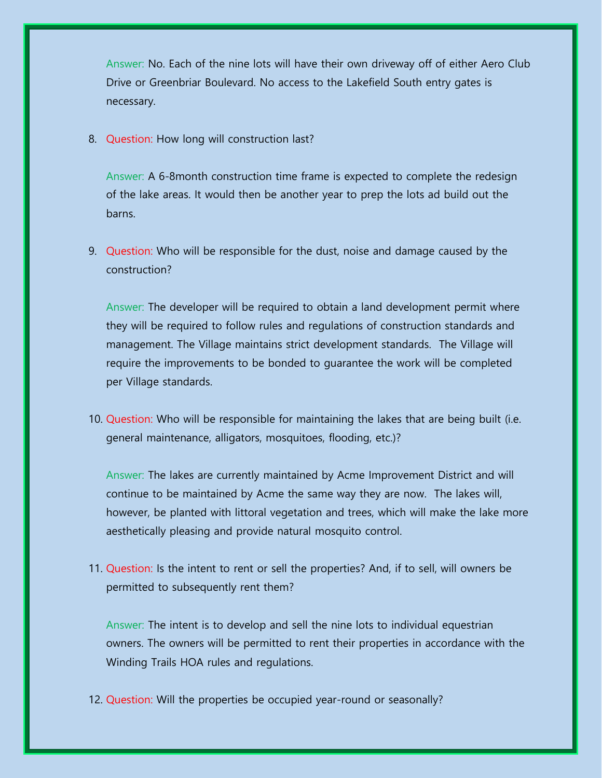Answer: No. Each of the nine lots will have their own driveway off of either Aero Club Drive or Greenbriar Boulevard. No access to the Lakefield South entry gates is necessary.

8. Question: How long will construction last?

Answer: A 6-8month construction time frame is expected to complete the redesign of the lake areas. It would then be another year to prep the lots ad build out the barns.

9. Question: Who will be responsible for the dust, noise and damage caused by the construction?

Answer: The developer will be required to obtain a land development permit where they will be required to follow rules and regulations of construction standards and management. The Village maintains strict development standards. The Village will require the improvements to be bonded to guarantee the work will be completed per Village standards.

10. Question: Who will be responsible for maintaining the lakes that are being built (i.e. general maintenance, alligators, mosquitoes, flooding, etc.)?

Answer: The lakes are currently maintained by Acme Improvement District and will continue to be maintained by Acme the same way they are now. The lakes will, however, be planted with littoral vegetation and trees, which will make the lake more aesthetically pleasing and provide natural mosquito control.

11. Question: Is the intent to rent or sell the properties? And, if to sell, will owners be permitted to subsequently rent them?

Answer: The intent is to develop and sell the nine lots to individual equestrian owners. The owners will be permitted to rent their properties in accordance with the Winding Trails HOA rules and regulations.

12. Question: Will the properties be occupied year-round or seasonally?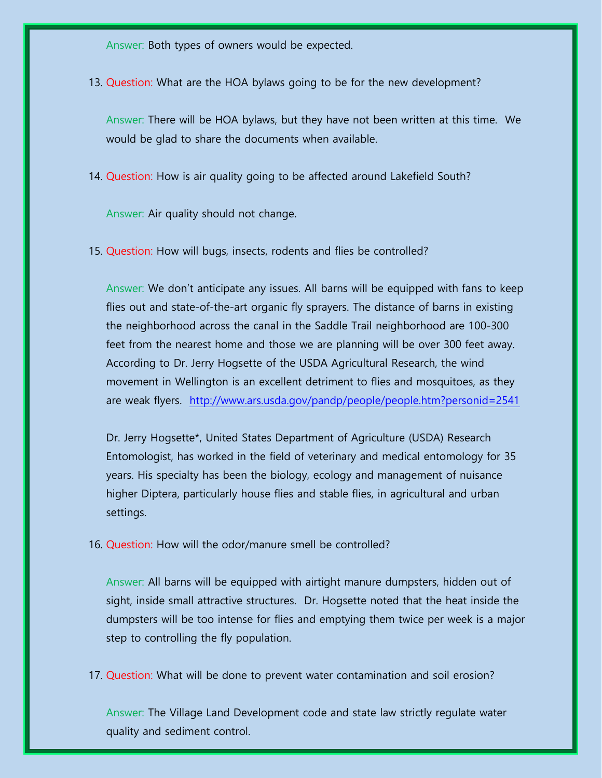Answer: Both types of owners would be expected.

13. Question: What are the HOA bylaws going to be for the new development?

Answer: There will be HOA bylaws, but they have not been written at this time. We would be glad to share the documents when available.

14. Question: How is air quality going to be affected around Lakefield South?

Answer: Air quality should not change.

15. Question: How will bugs, insects, rodents and flies be controlled?

Answer: We don't anticipate any issues. All barns will be equipped with fans to keep flies out and state-of-the-art organic fly sprayers. The distance of barns in existing the neighborhood across the canal in the Saddle Trail neighborhood are 100-300 feet from the nearest home and those we are planning will be over 300 feet away. According to Dr. Jerry Hogsette of the USDA Agricultural Research, the wind movement in Wellington is an excellent detriment to flies and mosquitoes, as they are weak flyers. <http://www.ars.usda.gov/pandp/people/people.htm?personid=2541>

Dr. Jerry Hogsette\*, United States Department of Agriculture (USDA) Research Entomologist, has worked in the field of veterinary and medical entomology for 35 years. His specialty has been the biology, ecology and management of nuisance higher Diptera, particularly house flies and stable flies, in agricultural and urban settings.

16. Question: How will the odor/manure smell be controlled?

Answer: All barns will be equipped with airtight manure dumpsters, hidden out of sight, inside small attractive structures. Dr. Hogsette noted that the heat inside the dumpsters will be too intense for flies and emptying them twice per week is a major step to controlling the fly population.

17. Question: What will be done to prevent water contamination and soil erosion?

Answer: The Village Land Development code and state law strictly regulate water quality and sediment control.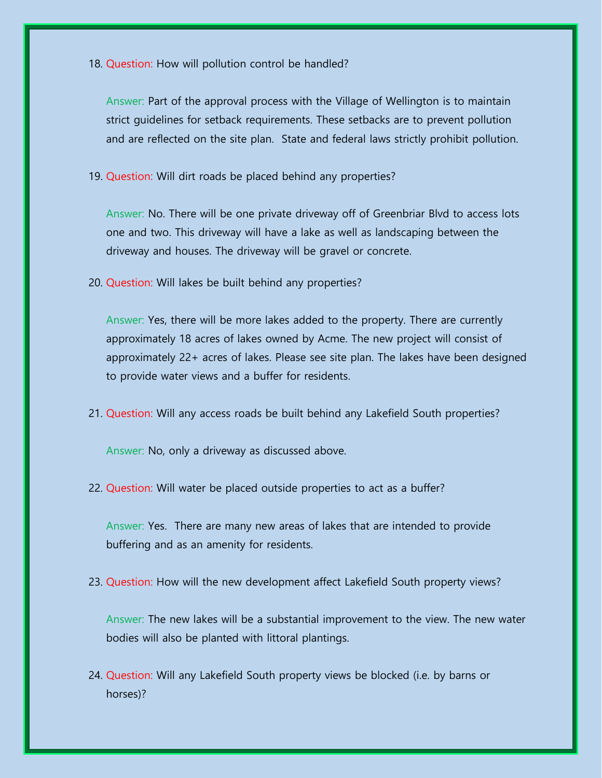18. Question: How will pollution control be handled?

Answer: Part of the approval process with the Village of Wellington is to maintain strict guidelines for setback requirements. These setbacks are to prevent pollution and are reflected on the site plan. State and federal laws strictly prohibit pollution.

19. Question: Will dirt roads be placed behind any properties?

Answer: No. There will be one private driveway off of Greenbriar Blvd to access lots one and two. This driveway will have a lake as well as landscaping between the driveway and houses. The driveway will be gravel or concrete.

20. Question: Will lakes be built behind any properties?

Answer: Yes, there will be more lakes added to the property. There are currently approximately 18 acres of lakes owned by Acme. The new project will consist of approximately 22+ acres of lakes. Please see site plan. The lakes have been designed to provide water views and a buffer for residents.

21. Question: Will any access roads be built behind any Lakefield South properties?

Answer: No, only a driveway as discussed above.

22. Question: Will water be placed outside properties to act as a buffer?

Answer: Yes. There are many new areas of lakes that are intended to provide buffering and as an amenity for residents.

23. Question: How will the new development affect Lakefield South property views?

Answer: The new lakes will be a substantial improvement to the view. The new water bodies will also be planted with littoral plantings.

24. Question: Will any Lakefield South property views be blocked (i.e. by barns or horses)?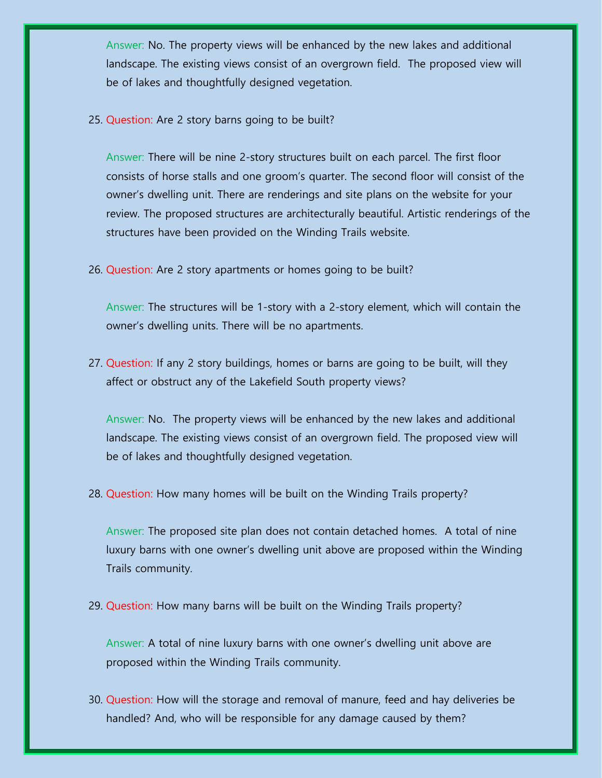Answer: No. The property views will be enhanced by the new lakes and additional landscape. The existing views consist of an overgrown field. The proposed view will be of lakes and thoughtfully designed vegetation.

25. Question: Are 2 story barns going to be built?

Answer: There will be nine 2-story structures built on each parcel. The first floor consists of horse stalls and one groom's quarter. The second floor will consist of the owner's dwelling unit. There are renderings and site plans on the website for your review. The proposed structures are architecturally beautiful. Artistic renderings of the structures have been provided on the Winding Trails website.

26. Question: Are 2 story apartments or homes going to be built?

Answer: The structures will be 1-story with a 2-story element, which will contain the owner's dwelling units. There will be no apartments.

27. Question: If any 2 story buildings, homes or barns are going to be built, will they affect or obstruct any of the Lakefield South property views?

Answer: No. The property views will be enhanced by the new lakes and additional landscape. The existing views consist of an overgrown field. The proposed view will be of lakes and thoughtfully designed vegetation.

28. Question: How many homes will be built on the Winding Trails property?

Answer: The proposed site plan does not contain detached homes. A total of nine luxury barns with one owner's dwelling unit above are proposed within the Winding Trails community.

29. Question: How many barns will be built on the Winding Trails property?

Answer: A total of nine luxury barns with one owner's dwelling unit above are proposed within the Winding Trails community.

30. Question: How will the storage and removal of manure, feed and hay deliveries be handled? And, who will be responsible for any damage caused by them?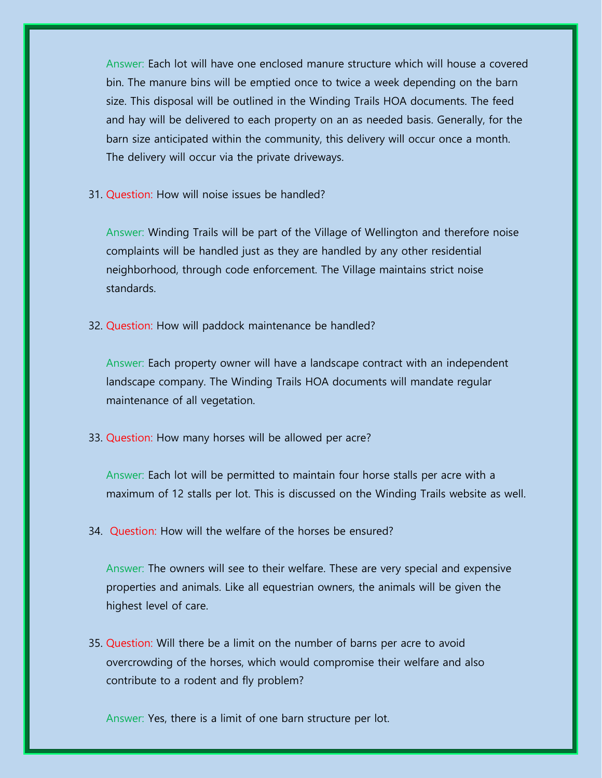Answer: Each lot will have one enclosed manure structure which will house a covered bin. The manure bins will be emptied once to twice a week depending on the barn size. This disposal will be outlined in the Winding Trails HOA documents. The feed and hay will be delivered to each property on an as needed basis. Generally, for the barn size anticipated within the community, this delivery will occur once a month. The delivery will occur via the private driveways.

31. Question: How will noise issues be handled?

Answer: Winding Trails will be part of the Village of Wellington and therefore noise complaints will be handled just as they are handled by any other residential neighborhood, through code enforcement. The Village maintains strict noise standards.

32. Question: How will paddock maintenance be handled?

Answer: Each property owner will have a landscape contract with an independent landscape company. The Winding Trails HOA documents will mandate regular maintenance of all vegetation.

33. Question: How many horses will be allowed per acre?

Answer: Each lot will be permitted to maintain four horse stalls per acre with a maximum of 12 stalls per lot. This is discussed on the Winding Trails website as well.

34. Question: How will the welfare of the horses be ensured?

Answer: The owners will see to their welfare. These are very special and expensive properties and animals. Like all equestrian owners, the animals will be given the highest level of care.

35. Question: Will there be a limit on the number of barns per acre to avoid overcrowding of the horses, which would compromise their welfare and also contribute to a rodent and fly problem?

Answer: Yes, there is a limit of one barn structure per lot.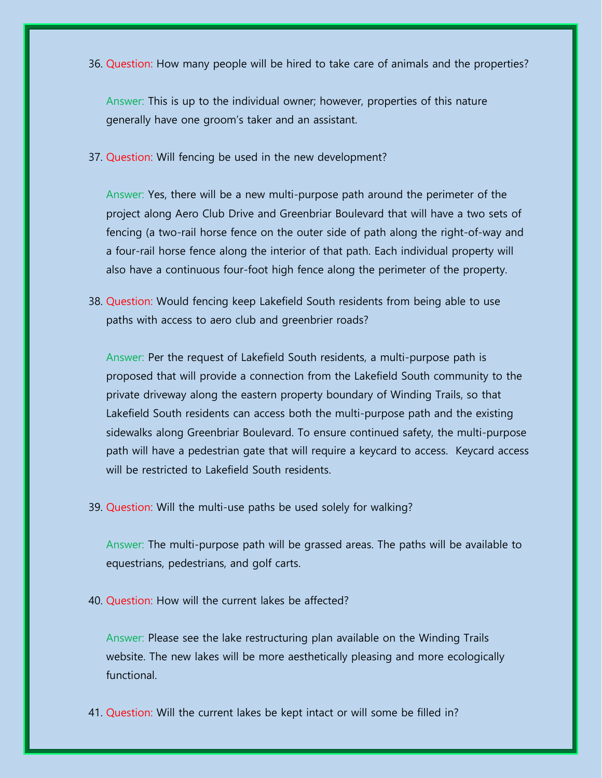36. Question: How many people will be hired to take care of animals and the properties?

Answer: This is up to the individual owner; however, properties of this nature generally have one groom's taker and an assistant.

37. Question: Will fencing be used in the new development?

Answer: Yes, there will be a new multi-purpose path around the perimeter of the project along Aero Club Drive and Greenbriar Boulevard that will have a two sets of fencing (a two-rail horse fence on the outer side of path along the right-of-way and a four-rail horse fence along the interior of that path. Each individual property will also have a continuous four-foot high fence along the perimeter of the property.

38. Question: Would fencing keep Lakefield South residents from being able to use paths with access to aero club and greenbrier roads?

Answer: Per the request of Lakefield South residents, a multi-purpose path is proposed that will provide a connection from the Lakefield South community to the private driveway along the eastern property boundary of Winding Trails, so that Lakefield South residents can access both the multi-purpose path and the existing sidewalks along Greenbriar Boulevard. To ensure continued safety, the multi-purpose path will have a pedestrian gate that will require a keycard to access. Keycard access will be restricted to Lakefield South residents.

39. Question: Will the multi-use paths be used solely for walking?

Answer: The multi-purpose path will be grassed areas. The paths will be available to equestrians, pedestrians, and golf carts.

40. Question: How will the current lakes be affected?

Answer: Please see the lake restructuring plan available on the Winding Trails website. The new lakes will be more aesthetically pleasing and more ecologically functional.

41. Question: Will the current lakes be kept intact or will some be filled in?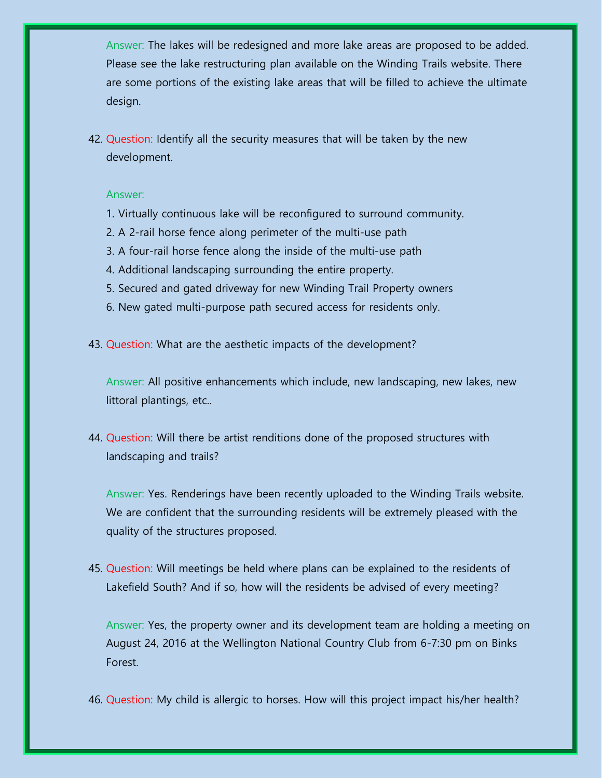Answer: The lakes will be redesigned and more lake areas are proposed to be added. Please see the lake restructuring plan available on the Winding Trails website. There are some portions of the existing lake areas that will be filled to achieve the ultimate design.

42. Question: Identify all the security measures that will be taken by the new development.

## Answer:

- 1. Virtually continuous lake will be reconfigured to surround community.
- 2. A 2-rail horse fence along perimeter of the multi-use path
- 3. A four-rail horse fence along the inside of the multi-use path
- 4. Additional landscaping surrounding the entire property.
- 5. Secured and gated driveway for new Winding Trail Property owners
- 6. New gated multi-purpose path secured access for residents only.
- 43. Question: What are the aesthetic impacts of the development?

Answer: All positive enhancements which include, new landscaping, new lakes, new littoral plantings, etc..

44. Question: Will there be artist renditions done of the proposed structures with landscaping and trails?

Answer: Yes. Renderings have been recently uploaded to the Winding Trails website. We are confident that the surrounding residents will be extremely pleased with the quality of the structures proposed.

45. Question: Will meetings be held where plans can be explained to the residents of Lakefield South? And if so, how will the residents be advised of every meeting?

Answer: Yes, the property owner and its development team are holding a meeting on August 24, 2016 at the Wellington National Country Club from 6-7:30 pm on Binks Forest.

46. Question: My child is allergic to horses. How will this project impact his/her health?